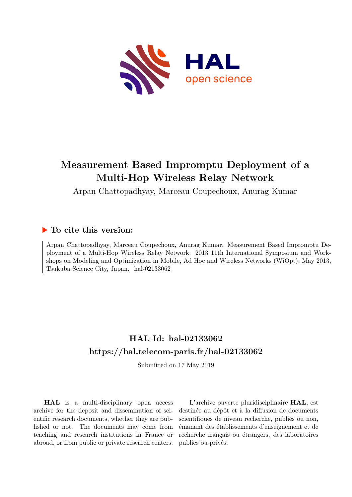

# **Measurement Based Impromptu Deployment of a Multi-Hop Wireless Relay Network**

Arpan Chattopadhyay, Marceau Coupechoux, Anurag Kumar

# **To cite this version:**

Arpan Chattopadhyay, Marceau Coupechoux, Anurag Kumar. Measurement Based Impromptu Deployment of a Multi-Hop Wireless Relay Network. 2013 11th International Symposium and Workshops on Modeling and Optimization in Mobile, Ad Hoc and Wireless Networks (WiOpt), May 2013, Tsukuba Science City, Japan. hal-02133062

# **HAL Id: hal-02133062 <https://hal.telecom-paris.fr/hal-02133062>**

Submitted on 17 May 2019

**HAL** is a multi-disciplinary open access archive for the deposit and dissemination of scientific research documents, whether they are published or not. The documents may come from teaching and research institutions in France or abroad, or from public or private research centers.

L'archive ouverte pluridisciplinaire **HAL**, est destinée au dépôt et à la diffusion de documents scientifiques de niveau recherche, publiés ou non, émanant des établissements d'enseignement et de recherche français ou étrangers, des laboratoires publics ou privés.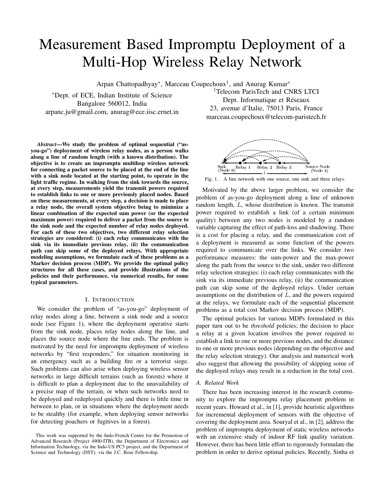# Measurement Based Impromptu Deployment of a Multi-Hop Wireless Relay Network

Arpan Chattopadhyay<sup>∗</sup>, Marceau Coupechoux<sup>†</sup>, and Anurag Kumar<sup>∗</sup>

<sup>∗</sup>Dept. of ECE, Indian Institute of Science Bangalore 560012, India arpanc.ju@gmail.com, anurag@ece.iisc.ernet.in

*Abstract*—We study the problem of optimal sequential ("asyou-go") deployment of wireless relay nodes, as a person walks along a line of random length (with a known distribution). The objective is to create an impromptu multihop wireless network for connecting a packet source to be placed at the end of the line with a sink node located at the starting point, to operate in the light traffic regime. In walking from the sink towards the source, at every step, measurements yield the transmit powers required to establish links to one or more previously placed nodes. Based on these measurements, at every step, a decision is made to place a relay node, the overall system objective being to minimize a linear combination of the expected sum power (or the expected maximum power) required to deliver a packet from the source to the sink node and the expected number of relay nodes deployed. For each of these two objectives, two different relay selection strategies are considered: (i) each relay communicates with the sink via its immediate previous relay, (ii) the communication path can skip some of the deployed relays. With appropriate modeling assumptions, we formulate each of these problems as a Markov decision process (MDP). We provide the optimal policy structures for all these cases, and provide illustrations of the policies and their performance, via numerical results, for some typical parameters.

#### I. INTRODUCTION

We consider the problem of "as-you-go" deployment of relay nodes along a line, between a sink node and a source node (see Figure 1), where the deployment operative starts from the sink node, places relay nodes along the line, and places the source node where the line ends. The problem is motivated by the need for impromptu deployment of wireless networks by "first responders," for situation monitoring in an emergency such as a building fire or a terrorist siege. Such problems can also arise when deploying wireless sensor networks in large difficult terrains (such as forests) where it is difficult to plan a deployment due to the unavailability of a precise map of the terrain, or when such networks need to be deployed and redeployed quickly and there is little time in between to plan, or in situations where the deployment needs to be stealthy (for example, when deploying sensor networks for detecting poachers or fugitives in a forest).

†Telecom ParisTech and CNRS LTCI Dept. Informatique et Réseaux 23, avenue d'Italie, 75013 Paris, France marceau.coupechoux@telecom-paristech.fr



Fig. 1. A line network with one source, one sink and three relays.

Motivated by the above larger problem, we consider the problem of as-you-go deployment along a line of unknown random length, L, whose distribution is known. The transmit power required to establish a link (of a certain minimum quality) between any two nodes is modeled by a random variable capturing the effect of path-loss and shadowing. There is a cost for placing a relay, and the communication cost of a deployment is measured as some function of the powers required to communicate over the links. We consider two performance measures: the sum-power and the max-power along the path from the source to the sink, under two different relay selection strategies: (i) each relay communicates with the sink via its immediate previous relay, (ii) the communication path can skip some of the deployed relays. Under certain assumptions on the distribution of  $L$ , and the powers required at the relays, we formulate each of the sequential placement problems as a total cost Markov decision process (MDP).

The optimal policies for various MDPs formulated in this paper turn out to be *threshold* policies; the decision to place a relay at a given location involves the power required to establish a link to one or more previous nodes, and the distance to one or more previous nodes (depending on the objective and the relay selection strategy). Our analysis and numerical work also suggest that allowing the possibility of skipping some of the deployed relays may result in a reduction in the total cost.

# *A. Related Work*

There has been increasing interest in the research community to explore the impromptu relay placement problem in recent years. Howard et al., in [1], provide heuristic algorithms for incremental deployment of sensors with the objective of covering the deployment area. Souryal et al., in [2], address the problem of impromptu deployment of static wireless networks with an extensive study of indoor RF link quality variation. However, there has been little effort to rigorously formulate the problem in order to derive optimal policies. Recently, Sinha et

This work was supported by the Indo-French Centre for the Promotion of Advanced Research (Project 4900-ITB), the Department of Electronics and Information Technology, via the Indo-US PC3 project, and the Department of Science and Technology (DST), via the J.C. Bose Fellowship.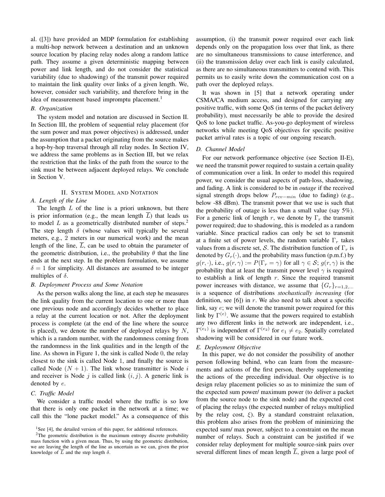al. ([3]) have provided an MDP formulation for establishing a multi-hop network between a destination and an unknown source location by placing relay nodes along a random lattice path. They assume a given deterministic mapping between power and link length, and do not consider the statistical variability (due to shadowing) of the transmit power required to maintain the link quality over links of a given length. We, however, consider such variability, and therefore bring in the idea of measurement based impromptu placement.<sup>1</sup>

#### *B. Organization*

The system model and notation are discussed in Section II. In Section III, the problem of sequential relay placement (for the sum power and max power objectives) is addressed, under the assumption that a packet originating from the source makes a hop-by-hop traversal through all relay nodes. In Section IV, we address the same problems as in Section III, but we relax the restriction that the links of the path from the source to the sink must be between adjacent deployed relays. We conclude in Section V.

# II. SYSTEM MODEL AND NOTATION

## *A. Length of the Line*

The length  $L$  of the line is a priori unknown, but there is prior information (e.g., the mean length  $L$ ) that leads us to model L as a geometrically distributed number of steps.<sup>2</sup> The step length  $\delta$  (whose values will typically be several meters, e.g., 2 meters in our numerical work) and the mean length of the line,  $\overline{L}$ , can be used to obtain the parameter of the geometric distribution, i.e., the probability  $\theta$  that the line ends at the next step. In the problem formulation, we assume  $\delta = 1$  for simplicity. All distances are assumed to be integer multiples of  $\delta$ .

#### *B. Deployment Process and Some Notation*

As the person walks along the line, at each step he measures the link quality from the current location to one or more than one previous node and accordingly decides whether to place a relay at the current location or not. After the deployment process is complete (at the end of the line where the source is placed), we denote the number of deployed relays by  $N$ , which is a random number, with the randomness coming from the randomness in the link qualities and in the length of the line. As shown in Figure 1, the sink is called Node 0, the relay closest to the sink is called Node 1, and finally the source is called Node  $(N + 1)$ . The link whose transmitter is Node i and receiver is Node j is called link  $(i, j)$ . A generic link is denoted by e.

#### *C. Traffic Model*

We consider a traffic model where the traffic is so low that there is only one packet in the network at a time; we call this the "lone packet model." As a consequence of this assumption, (i) the transmit power required over each link depends only on the propagation loss over that link, as there are no simultaneous transmissions to cause interference, and (ii) the transmission delay over each link is easily calculated, as there are no simultaneous transmitters to contend with. This permits us to easily write down the communication cost on a path over the deployed relays.

It was shown in [5] that a network operating under CSMA/CA medium access, and designed for carrying any positive traffic, with some QoS (in terms of the packet delivery probability), must necessarily be able to provide the desired QoS to lone packet traffic. As-you-go deployment of wireless networks while meeting QoS objectives for specific positive packet arrival rates is a topic of our ongoing research.

# *D. Channel Model*

For our network performance objective (see Section II-E), we need the transmit power required to sustain a certain quality of communication over a link. In order to model this required power, we consider the usual aspects of path-loss, shadowing, and fading. A link is considered to be in *outage* if the received signal strength drops below  $P_{rcv-min}$  (due to fading) (e.g., below -88 dBm). The transmit power that we use is such that the probability of outage is less than a small value (say 5%). For a generic link of length r, we denote by  $\Gamma_r$  the transmit power required; due to shadowing, this is modeled as a random variable. Since practical radios can only be set to transmit at a finite set of power levels, the random variable  $\Gamma_r$  takes values from a discrete set, S. The distribution function of  $\Gamma_r$  is denoted by  $G_r(\cdot)$ , and the probability mass function (p.m.f.) by  $g(r, \cdot)$ , i.e.,  $g(r, \gamma) := P(\Gamma_r = \gamma)$  for all  $\gamma \in S$ ;  $g(r, \gamma)$  is the probability that at least the transmit power level  $\gamma$  is required to establish a link of length  $r$ . Since the required transmit power increases with distance, we assume that  $\{G_r\}_{r=1,2,\dots}$ is a sequence of distributions *stochastically increasing* (for definition, see [6]) in  $r$ . We also need to talk about a specific link, say e; we will denote the transmit power required for this link by  $\Gamma^{(e)}$ . We assume that the powers required to establish any two different links in the network are independent, i.e.,  $\Gamma^{(e_1)}$  is independent of  $\Gamma^{(e_2)}$  for  $e_1 \neq e_2$ . Spatially correlated shadowing will be considered in our future work.

## *E. Deployment Objective*

In this paper, we do not consider the possibility of another person following behind, who can learn from the measurements and actions of the first person, thereby supplementing the actions of the preceding individual. Our objective is to design relay placement policies so as to minimize the sum of the expected sum power/ maximum power (to deliver a packet from the source node to the sink node) and the expected cost of placing the relays (the expected number of relays multiplied by the relay cost,  $\xi$ ). By a standard constraint relaxation, this problem also arises from the problem of minimizing the expected sum/ max power, subject to a constraint on the mean number of relays. Such a constraint can be justified if we consider relay deployment for multiple source-sink pairs over several different lines of mean length L, given a large pool of

<sup>&</sup>lt;sup>1</sup>See [4], the detailed version of this paper, for additional references.

<sup>&</sup>lt;sup>2</sup>The geometric distribution is the maximum entropy discrete probability mass function with a given mean. Thus, by using the geometric distribution, we are leaving the length of the line as uncertain as we can, given the prior knowledge of  $\overline{L}$  and the step length  $\delta$ .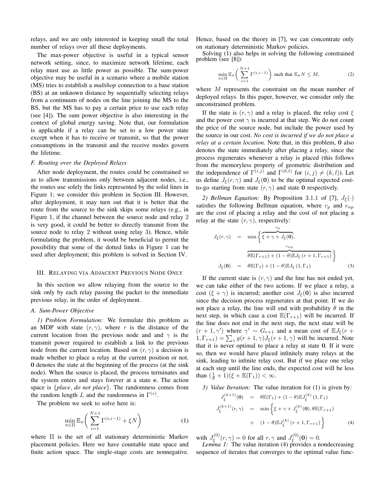relays, and we are only interested in keeping small the total number of relays over all these deployments.

The max-power objective is useful in a typical sensor network setting, since, to maximize network lifetime, each relay must use as little power as possible. The sum-power objective may be useful in a scenario where a mobile station (MS) tries to establish a *multihop* connection to a base station (BS) at an unknown distance by sequentially selecting relays from a continuum of nodes on the line joining the MS to the BS, but the MS has to pay a certain price to use each relay (see [4]). The sum power objective is also interesting in the context of global energy saving. Note that, our formulation is applicable if a relay can be set to a low power state except when it has to receive or transmit, so that the power consumptions in the transmit and the receive modes govern the lifetime.

#### *F. Routing over the Deployed Relays*

After node deployment, the routes could be constrained so as to allow transmissions only between adjacent nodes, i.e., the routes use solely the links represented by the solid lines in Figure 1; we consider this problem in Section III. However, after deployment, it may turn out that it is better that the route from the source to the sink skips some relays (e.g., in Figure 1, if the channel between the source node and relay 2 is very good, it could be better to directly transmit from the source node to relay 2 without using relay 3). Hence, while formulating the problem, it would be beneficial to permit the possibility that some of the dotted links in Figure 1 can be used after deployment; this problem is solved in Section IV.

#### III. RELAYING VIA ADJACENT PREVIOUS NODE ONLY

In this section we allow relaying from the source to the sink only by each relay passing the packet to the immediate previous relay, in the order of deployment.

# *A. Sum-Power Objective*

*1) Problem Formulation:* We formulate this problem as an MDP with state  $(r, \gamma)$ , where r is the distance of the current location from the previous node and and  $\gamma$  is the transmit power required to establish a link to the previous node from the current location. Based on  $(r, \gamma)$  a decision is made whether to place a relay at the current position or not. 0 denotes the state at the beginning of the process (at the sink node). When the source is placed, the process terminates and the system enters and stays forever at a state e. The action space is {*place*, *do not place*}. The randomness comes from the random length L and the randomness in  $\Gamma^{(e)}$ .

The problem we seek to solve here is:

$$
\min_{\pi \in \Pi} \mathbb{E}_{\pi} \bigg( \sum_{i=1}^{N+1} \Gamma^{(i, i-1)} + \xi N \bigg) \tag{1}
$$

where  $\Pi$  is the set of all stationary deterministic Markov placement policies. Here we have countable state space and finite action space. The single-stage costs are nonnegative. Hence, based on the theory in [7], we can concentrate only on stationary deterministic Markov policies.

Solving (1) also helps in solving the following constrained problem (see [8]):

$$
\min_{\pi \in \Pi} \mathbb{E}_{\pi} \bigg( \sum_{i=1}^{N+1} \Gamma^{(i, i-1)} \bigg) \text{ such that } \mathbb{E}_{\pi} N \le M, \tag{2}
$$

where M represents the constraint on the mean number of deployed relays. In this paper, however, we consider only the unconstrained problem.

If the state is  $(r, \gamma)$  and a relay is placed, the relay cost  $\xi$ and the power cost  $\gamma$  is incurred at that step. We do not count the price of the source node, but include the power used by the source in our cost. *No cost is incurred if we do not place a relay at a certain location.* Note that, in this problem, 0 also denotes the state immediately after placing a relay, since the process regenerates whenever a relay is placed (this follows from the memoryless property of geometric distribution and the independence of  $\Gamma^{(i,j)}$  and  $\Gamma^{(k,l)}$  for  $(i,j) \neq (k,l)$ ). Let us define  $J_{\xi}(r, \gamma)$  and  $J_{\xi}(0)$  to be the optimal expected costto-go starting from state  $(r, \gamma)$  and state 0 respectively.

*2) Bellman Equation:* By Proposition 3.1.1 of [7],  $J_{\xi}(\cdot)$ satisfies the following Bellman equation, where  $c_p$  and  $c_{np}$ are the cost of placing a relay and the cost of not placing a relay at the state  $(r, \gamma)$ , respectively:

$$
J_{\xi}(r,\gamma) = \min\left\{\frac{c_p}{\xi + \gamma + J_{\xi}(0)},\right.
$$

$$
\widehat{\theta \mathbb{E}(\Gamma_{r+1}) + (1-\theta)\mathbb{E}J_{\xi}(r+1,\Gamma_{r+1})}\right\}
$$

$$
J_{\xi}(0) = \theta \mathbb{E}(\Gamma_1) + (1-\theta)\mathbb{E}J_{\xi}(1,\Gamma_1) \tag{3}
$$

If the current state is  $(r, \gamma)$  and the line has not ended yet, we can take either of the two actions. If we place a relay, a cost  $(\xi + \gamma)$  is incurred; another cost  $J_{\xi}(\mathbf{0})$  is also incurred since the decision process regenerates at that point. If we do not place a relay, the line will end with probability  $\theta$  in the next step, in which case a cost  $\mathbb{E}(\Gamma_{r+1})$  will be incurred. If the line does not end in the next step, the next state will be  $(r + 1, \gamma')$  where  $\gamma' \sim G_{r+1}$  and a mean cost of  $\mathbb{E}J_{\xi}(r +$  $(1, \Gamma_{r+1}) = \sum_{\gamma} g(r+1, \gamma) J_{\xi}(r+1, \gamma)$  will be incurred. Note that it is never optimal to place a relay at state 0. If it were so, then we would have placed infinitely many relays at the sink, leading to infinite relay cost. But if we place one relay at each step until the line ends, the expected cost will be less than  $(\frac{1}{\theta} + 1)(\xi + \mathbb{E}(\Gamma_1)) < \infty$ .

*3) Value Iteration:* The value iteration for (1) is given by:  $J_{\xi}^{(k+1)}(0) = \theta \mathbb{E}(\Gamma_1) + (1-\theta) \mathbb{E} J_{\xi}^{(k)}(1,\Gamma_1)$  $J_{\xi}^{(k+1)}(r,\gamma) = \min \left\{ \xi + \gamma + J_{\xi}^{(k)}(\mathbf{0}), \theta \mathbb{E}(\Gamma_{r+1}) \right\}$ 

$$
y = \min \left\{ s + t + s_{\xi} \quad (6), \, s \ge (r+1) \right\}
$$
  
+ 
$$
(1 - \theta) \mathbb{E} J_{\xi}^{(k)}(r+1, \Gamma_{r+1})
$$
 (4)

with  $J_{\epsilon}^{(0)}$  $J_{\xi}^{(0)}(r,\gamma) = 0$  for all  $r, \gamma$  and  $J_{\xi}^{(0)}$  $\zeta^{(0)}(0)=0.$ 

*Lemma 1:* The value iteration (4) provides a nondecreasing sequence of iterates that converges to the optimal value func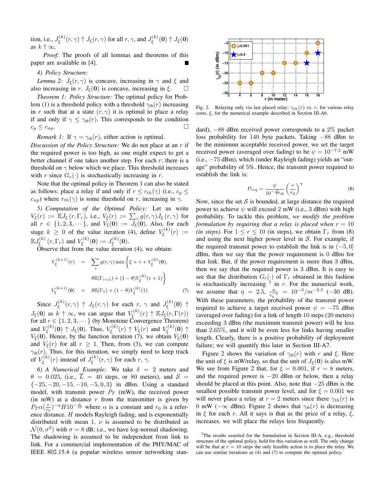tion, i.e.,  $J_{\varepsilon}^{(k)}$  $J_{\xi}^{(k)}(r,\gamma) \uparrow J_{\xi}(r,\gamma)$  for all  $r,\gamma$ , and  $J_{\xi}^{(k)}$  $\zeta^{(\kappa)}_\xi(\mathbf{0})\uparrow J_\xi(\mathbf{0})$ as  $k \uparrow \infty$ .

*Proof:* The proofs of all lemmas and theorems of this paper are available in [4].

*4) Policy Structure:*

*Lemma 2:*  $J_{\xi}(r, \gamma)$  is concave, increasing in  $\gamma$  and  $\xi$  and also increasing in r.  $J_{\xi}(\mathbf{0})$  is concave, increasing in  $\xi$ .  $\square$ 

*Theorem 1: Policy Structure:* The optimal policy for Problem (1) is a threshold policy with a threshold  $\gamma_{th}(r)$  increasing in r such that at a state  $(r, \gamma)$  it is optimal to place a relay if and only if  $\gamma \leq \gamma_{th}(r)$ . This corresponds to the condition  $c_p \leq c_{np}.$ 

*Remark 1:* If  $\gamma = \gamma_{th}(r)$ , either action is optimal.

*Discussion of the Policy Structure:* We do not place at an r if the required power is too high, as one might expect to get a better channel if one takes another step. For each  $r$ , there is a threshold on  $\gamma$  below which we place. This threshold increases with r since  $G_r(\cdot)$  is stochastically increasing in r.

Note that the optimal policy in Theorem 1 can also be stated as follows: place a relay if and only if  $r \leq r_{th}(\gamma)$  (i.e.,  $c_p \leq$  $c_{np}$ ) where  $r_{th}(\gamma)$  is some threshold on r, increasing in  $\gamma$ .

*5) Computation of the Optimal Policy:* Let us write  $V_{\xi}(r) := \mathbb{E}J_{\xi}(r,\Gamma_r)$ , i.e.,  $V_{\xi}(r) := \sum_{\gamma} g(r,\gamma)J_{\xi}(r,\gamma)$  for all  $r \in \{1, 2, 3, \dots\}$ , and  $V_{\xi}(\mathbf{0}) := J_{\xi}(\mathbf{0})$ . Also, for each stage  $k \geq 0$  of the value iteration (4), define  $V_{\epsilon}^{(k)}$  $\zeta^{(\kappa)}(\mathbf{r}) \; := \;$  $\mathbb{E} J_\varepsilon^{(k)}$  $\zeta_{\xi}^{(k)}(r,\Gamma_{r})$  and  $V_{\xi}^{(k)}$  $\zeta^{(k)}_\xi(\mathbf{0}) := J^{(k)}_\xi$  $\zeta^{(\kappa)}(0).$ 

Observe that from the value iteration  $(4)$ , we obtain:

$$
V_{\xi}^{(k+1)}(r) = \sum_{\gamma} g(r, \gamma) \min \left\{ \xi + \gamma + V_{\xi}^{(k)}(0), \right\}
$$

$$
\theta \mathbb{E}(\Gamma_{r+1}) + (1 - \theta) V_{\xi}^{(k)}(r+1) \right\}
$$

$$
V_{\xi}^{(k+1)}(0) = \theta \mathbb{E}(\Gamma_{1}) + (1 - \theta) V_{\xi}^{(k)}(1) \tag{7}
$$

Since  $J_{\varepsilon}^{(k)}$  $J_{\xi}^{(k)}(r,\gamma) \uparrow J_{\xi}(r,\gamma)$  for each  $r, \gamma$  and  $J_{\xi}^{(k)}$  $\zeta^{(\kappa)}(\mathbf{0})$   $\uparrow$  $J_{\xi}(\mathbf{0})$  as  $k \uparrow \infty$ , we can argue that  $V_{\xi}^{(k)}$  $\zeta_\xi^{(k)}(r)\uparrow\mathbb{E}J_\xi(r,\Gamma(r))$ for all  $r \in \{1, 2, 3, \dots\}$  (by Monotone Convergence Theorem) and  $V_{\epsilon}^{(k)}$  $U_{\xi}^{(k)}(0) \uparrow J_{\xi}(0)$ . Thus,  $V_{\xi}^{(k)}$  $V_{\xi}^{(k)}(r) \uparrow V_{\xi}(r)$  and  $V_{\xi}^{(k)}$  $\zeta^{(\kappa)}(\mathbf{0})\uparrow$  $V_{\xi}(\mathbf{0})$ . Hence, by the function iteration (7), we obtain  $V_{\xi}(\mathbf{0})$ and  $V_{\xi}(r)$  for all  $r \geq 1$ . Then, from (3), we can compute  $\gamma_{th}(r)$ . Thus, for this iteration, we simply need to keep track of  $V_{\epsilon}^{(k)}$  $\zeta_{\xi}^{(k)}(r)$  instead of  $J_{\xi}^{(k)}$  $\zeta_{\xi}^{(\kappa)}(r,\gamma)$  for each  $r, \gamma$ .

*6) A Numerical Example:* We take  $\delta = 2$  meters and  $\theta = 0.025$ , (i.e.,  $\overline{L} = 40$  steps, or 80 meters), and  $S =$  $\{-25, -20, -15, -10, -5, 0, 3\}$  in dBm. Using a standard model, with transmit power  $P_T$  (mW), the received power (in mW) at a distance  $r$  from the transmitter is given by  $P_T \alpha(\frac{r}{r_0})^{-\eta} H 10^{-\frac{\nu}{10}}$  where  $\alpha$  is a constant and  $r_0$  is a reference distance. H models Rayleigh fading, and is exponentially distributed with mean 1.  $\nu$  is assumed to be distributed as  $\mathcal{N}(0, \sigma^2)$  with  $\sigma = 8$  dB; i.e., we have log-normal shadowing. The shadowing is assumed to be independent from link to link. For a commercial implementation of the PHY/MAC of IEEE 802.15.4 (a popular wireless sensor networking stan-



Fig. 2. Relaying only via last placed relay:  $\gamma_{th}(r)$  vs. r, for various relay costs, ξ, for the numerical example described in Section III-A6.

dard), −88 dBm received power corresponds to a 2% packet loss probability for 140 byte packets. Taking −88 dBm to be the minimum acceptable received power, we set the target received power (averaged over fading) to be  $\psi = 10^{-7.5}$  mW (i.e., −75 dBm), which (under Rayleigh fading) yields an "outage" probability of 5%. Hence, the transmit power required to establish the link is:

$$
P_{req} = \frac{\psi}{10^{-\frac{\nu}{10}} \alpha} \left(\frac{r}{r_0}\right)^{\eta} \tag{8}
$$

Now, since the set  $S$  is bounded, at large distance the required power to achieve  $\psi$  will exceed 2 mW (i.e., 3 dBm) with high probability. To tackle this problem, *we modify the problem formulation by requiring that a relay is placed when*  $r = 10$ *(in steps).* For  $1 \le r \le 10$  (in steps), we obtain  $\Gamma_r$  from (8) and using the next higher power level in  $S$ . For example, if the required transmit power to establish the link is in  $(-5, 0]$ dBm, then we say that the power requirement is 0 dBm for that link. But, if the power requirement is more than 3 dBm, then we say that the required power is 3 dBm. It is easy to see that the distribution  $G_r(\cdot)$  of  $\Gamma_r$  obtained in this fashion is stochastically increasing  $3$  in r. For the numerical work, we assume that  $\eta = 2.5$ ,  $\frac{\alpha}{\alpha}$  $\frac{\alpha}{r_0^{-\eta}} = 10^{-3}/m^{-2.5}$  (-30 dB). With these parameters, the probability of the transmit power required to achieve a target received power  $\psi = -75$  dBm (averaged over fading) for a link of length 10 steps (20 meters) exceeding 3 dBm (the maximum transmit power) will be less than 2.65%, and it will be even less for links having smaller length. Clearly, there is a positive probability of deployment failure; we will quantify this later in Section III-A7.

Figure 2 shows the variation of  $\gamma_{th}(r)$  with r and  $\xi$ . Here the unit of  $\xi$  is mW/relay, so that the unit of  $J_{\xi}(\mathbf{0})$  is also mW. We see from Figure 2 that, for  $\xi = 0.001$ , if  $r = 8$  meters, and the required power is −20 dBm or below, then a relay should be placed at this point. Also, note that  $-25$  dBm is the smallest possible transmit power level, and for  $\xi = 0.001$  we will never place a relay at  $r = 2$  meters since there  $\gamma_{th}(r)$  is 0 mW ( $-\infty$  dBm). Figure 2 shows that  $\gamma_{th}(r)$  is decreasing in  $\xi$  for each r. All it says is that as the price of a relay,  $\xi$ , increases, we will place the relays less frequently.

<sup>&</sup>lt;sup>3</sup>The results asserted for the formulation in Section III-A, e.g., threshold structure of the optimal policy, hold for this variation as well. The only change will be that at  $r = 10$  steps the only feasible action is to place the relay. We can use similar iterations as (4) and (7) to compute the optimal policy.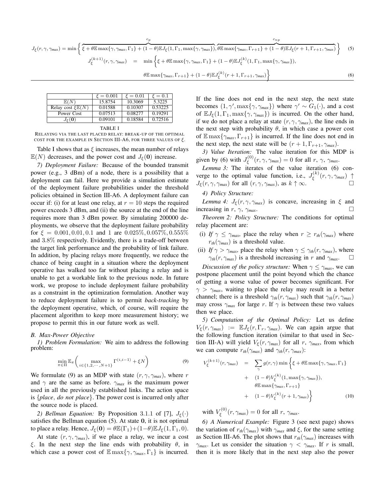$$
J_{\xi}(r,\gamma,\gamma_{max}) = \min\left\{\xi + \theta \mathbb{E} \max\{\gamma,\gamma_{max},\Gamma_1\} + (1-\theta) \mathbb{E} J_{\xi}(1,\Gamma_1,\max\{\gamma,\gamma_{max}\}), \theta \mathbb{E} \max\{\gamma_{max},\Gamma_{r+1}\} + (1-\theta) \mathbb{E} J_{\xi}(r+1,\Gamma_{r+1},\gamma_{max})\right\}
$$
(5)  

$$
J_{\xi}^{(k+1)}(r,\gamma,\gamma_{max}) = \min\left\{\xi + \theta \mathbb{E} \max\{\gamma,\gamma_{max},\Gamma_1\} + (1-\theta) \mathbb{E} J_{\xi}^{(k)}(1,\Gamma_1,\max\{\gamma,\gamma_{max}\}),\right\}
$$

$$
\theta \mathbb{E} \max\{\gamma_{max},\Gamma_{r+1}\} + (1-\theta) \mathbb{E} J_{\xi}^{(k)}(r+1,\Gamma_{r+1},\gamma_{max})\right\}
$$
(6)

|                                                  | $\xi = 0.001$ | $\xi = 0.01$ | $\xi = 0.1$ |
|--------------------------------------------------|---------------|--------------|-------------|
| E(N)                                             | 15.8754       | 10.3069      | 5.3225      |
| Relay cost $\mathcal{E}\mathbb{E}(\overline{N})$ | 0.01588       | 0.10307      | 0.53225     |
| Power Cost                                       | 0.07513       | 0.08277      | 0.19291     |
| $J_{\varepsilon}(\mathbf{0})$                    | 0.09101       | 0.18584      | 0.72516     |
|                                                  |               |              |             |

TABLE I

RELAYING VIA THE LAST PLACED RELAY: BREAK-UP OF THE OPTIMAL COST FOR THE EXAMPLE IN SECTION III-A6, FOR THREE VALUES OF  $\xi$ .

Table I shows that as  $\xi$  increases, the mean number of relays  $\mathbb{E}(N)$  decreases, and the power cost and  $J_{\xi}(\mathbf{0})$  increase.

*7) Deployment Failure:* Because of the bounded transmit power (e.g., 3 dBm) of a node, there is a possibility that a deployment can fail. Here we provide a simulation estimate of the deployment failure probabilities under the threshold policies obtained in Section III-A6. A deployment failure can occur if: (i) for at least one relay, at  $r = 10$  steps the required power exceeds 3 dBm, and (ii) the source at the end of the line requires more than 3 dBm power. By simulating 200000 deployments, we observe that the deployment failure probability for  $\xi = 0.001, 0.01, 0.1$  and 1 are  $0.025\%, 0.057\%, 0.555\%$ and 3.8% respectively. Evidently, there is a trade-off between the target link performance and the probability of link failure. In addition, by placing relays more frequently, we reduce the chance of being caught in a situation where the deployment operative has walked too far without placing a relay and is unable to get a workable link to the previous node. In future work, we propose to include deployment failure probability as a constraint in the optimization formulation. Another way to reduce deployment failure is to permit *back-tracking* by the deployment operative, which, of course, will require the placement algorithm to keep more measurement history; we propose to permit this in our future work as well.

#### *B. Max-Power Objective*

*1) Problem Formulation:* We aim to address the following problem:

$$
\min_{\pi \in \Pi} \mathbb{E}_{\pi} \left( \max_{i \in \{1, 2, \cdots, N+1\}} \Gamma^{(i, i-1)} + \xi N \right) \tag{9}
$$

We formulate (9) as an MDP with state  $(r, \gamma, \gamma_{max})$ , where r and  $\gamma$  are the same as before.  $\gamma_{max}$  is the maximum power used in all the previously established links. The action space is {*place*, *do not place*}. The power cost is incurred only after the source node is placed.

*2) Bellman Equation:* By Proposition 3.1.1 of [7],  $J_{\xi}(\cdot)$ satisfies the Bellman equation (5). At state 0, it is not optimal to place a relay. Hence,  $J_{\xi}(\mathbf{0}) = \theta \mathbb{E}(\Gamma_1) + (1-\theta) \mathbb{E} J_{\xi}(1, \Gamma_1, 0)$ .

At state  $(r, \gamma, \gamma_{max})$ , if we place a relay, we incur a cost ξ. In the next step the line ends with probability  $\theta$ , in which case a power cost of  $\mathbb{E} \max\{\gamma, \gamma_{max}, \Gamma_1\}$  is incurred.

If the line does not end in the next step, the next state becomes  $(1, \gamma', \max\{\gamma, \gamma_{max}\})$  where  $\gamma' \sim G_1(\cdot)$ , and a cost of  $\mathbb{E}J_{\xi}(1,\Gamma_1,\max\{\gamma,\gamma_{max}\})$  is incurred. On the other hand, if we do not place a relay at state  $(r, \gamma, \gamma_{max})$ , the line ends in the next step with probability  $\theta$ , in which case a power cost of  $\mathbb{E} \max\{\gamma_{max}, \Gamma_{r+1}\}\$ is incurred. If the line does not end in the next step, the next state will be  $(r + 1, \Gamma_{r+1}, \gamma_{max})$ .

*3) Value Iteration:* The value iteration for this MDP is given by (6) with  $J_{\epsilon}^{(0)}$  $\zeta_{\xi}^{(0)}(r, \gamma, \gamma_{max}) = 0$  for all  $r, \gamma, \gamma_{max}$ .

*Lemma 3:* The iterates of the value iteration (6) converge to the optimal value function, i.e.,  $J_{\varepsilon}^{(k)}$  $\zeta^{(\kappa)}(\mathbf{r}, \gamma, \gamma_{\textit{max}})$  ↑  $J_{\xi}(r, \gamma, \gamma_{max})$  for all  $(r, \gamma, \gamma_{max})$ , as  $k \uparrow \infty$ .

# *4) Policy Structure:*

*Lemma 4:*  $J_{\xi}(r, \gamma, \gamma_{max})$  is concave, increasing in  $\xi$  and increasing in  $r$ ,  $\gamma$ ,  $\gamma_{max}$ .

*Theorem 2: Policy Structure:* The conditions for optimal relay placement are:

- (i) *If*  $\gamma \le \gamma_{max}$ , place the relay when  $r \ge r_{th}(\gamma_{max})$  where  $r_{th}(\gamma_{max})$  is a threshold value.
- (ii) *If*  $\gamma > \gamma_{max}$ , place the relay when  $\gamma \leq \gamma_{th}(r, \gamma_{max})$ , where  $\gamma_{th}(r, \gamma_{max})$  is a threshold increasing in r and  $\gamma_{max}$ .

*Discussion of the policy structure:* When  $\gamma \leq \gamma_{max}$ , we can postpone placement until the point beyond which the chance of getting a worse value of power becomes significant. For  $\gamma > \gamma_{max}$ , waiting to place the relay may result in a better channel; there is a threshold  $\gamma_{th}(r, \gamma_{max})$  such that  $\gamma_{th}(r, \gamma_{max})$ may cross  $\gamma_{max}$  for large r. If  $\gamma$  is between these two values then we place.

*5) Computation of the Optimal Policy:* Let us define  $V_{\xi}(r, \gamma_{max}) := \mathbb{E} J_{\xi}(r, \Gamma_r, \gamma_{max})$ . We can again argue that the following function iteration (similar to that used in Section III-A) will yield  $V_{\xi}(r, \gamma_{max})$  for all r,  $\gamma_{max}$ , from which we can compute  $r_{th}(\gamma_{max})$  and  $\gamma_{th}(r, \gamma_{max})$ :

$$
V_{\xi}^{(k+1)}(r, \gamma_{max}) = \sum_{\gamma} g(r, \gamma) \min \left\{ \xi + \theta \mathbb{E} \max \{ \gamma, \gamma_{max}, \Gamma_1 \} + (1 - \theta) V_{\xi}^{(k)}(1, \max \{ \gamma, \gamma_{max} \}), \theta \mathbb{E} \max \{ \gamma_{max}, \Gamma_{r+1} \} + (1 - \theta) V_{\xi}^{(k)}(r+1, \gamma_{max}) \right\}
$$
(10)

with  $V_{\xi}^{(0)}$  $\zeta_{\xi}^{(0)}(r, \gamma_{max}) = 0$  for all r,  $\gamma_{max}$ .

*6) A Numerical Example:* Figure 3 (see next page) shows the variation of  $r_{th}(\gamma_{max})$  with  $\gamma_{max}$  and  $\xi$ , for the same setting as Section III-A6. The plot shows that  $r_{th}(\gamma_{max})$  increases with  $\gamma_{max}$ . Let us consider the situation  $\gamma < \gamma_{max}$ . If r is small, then it is more likely that in the next step also the power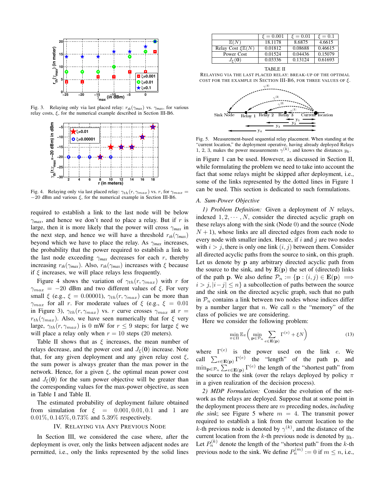

Fig. 3. Relaying only via last placed relay:  $r_{th}(\gamma_{max})$  vs.  $\gamma_{max}$ , for various relay costs, ξ, for the numerical example described in Section III-B6.



Fig. 4. Relaying only via last placed relay:  $\gamma_{th}(r, \gamma_{max})$  vs. r, for  $\gamma_{max}$  =  $-20$  dBm and various  $\xi$ , for the numerical example in Section III-B6.

required to establish a link to the last node will be below  $\gamma_{max}$ , and hence we don't need to place a relay. But if r is large, then it is more likely that the power will cross  $\gamma_{max}$  in the next step, and hence we will have a threshold  $r_{th}(\gamma_{max})$ beyond which we have to place the relay. As  $\gamma_{max}$  increases, the probability that the power required to establish a link to the last node exceeding  $\gamma_{max}$  decreases for each r, thereby increasing  $r_{th}(\gamma_{max})$ . Also,  $r_{th}(\gamma_{max})$  increases with  $\xi$  because if  $\xi$  increases, we will place relays less frequently.

Figure 4 shows the variation of  $\gamma_{th}(r, \gamma_{max})$  with r for  $\gamma_{max}$  = -20 dBm and two different values of ξ. For very small  $\xi$  (e.g.,  $\xi = 0.00001$ ),  $\gamma_{th}(r, \gamma_{max})$  can be more than  $\gamma_{max}$  for all r. For moderate values of  $\xi$  (e.g.,  $\xi = 0.01$ ) in Figure 3),  $\gamma_{th}(r, \gamma_{max})$  vs. r curve crosses  $\gamma_{max}$  at  $r =$  $r_{th}(\gamma_{max})$ . Also, we have seen numerically that for  $\xi$  very large,  $\gamma_{th}(r, \gamma_{max})$  is 0 mW for  $r \leq 9$  steps; for large  $\xi$  we will place a relay only when  $r = 10$  steps (20 meters).

Table II shows that as  $\xi$  increases, the mean number of relays decrease, and the power cost and  $J_{\xi}(0)$  increase. Note that, for any given deployment and any given relay cost  $\xi$ , the sum power is always greater than the max power in the network. Hence, for a given  $\xi$ , the optimal mean power cost and  $J_{\xi}(\mathbf{0})$  for the sum power objective will be greater than the corresponding values for the max-power objective, as seen in Table I and Table II.

The estimated probability of deployment failure obtained from simulation for  $\xi = 0.001, 0.01, 0.1$  and 1 are 0.01%, 0.145%, 0.73% and 5.39% respectively.

#### IV. RELAYING VIA ANY PREVIOUS NODE

In Section III, we considered the case where, after the deployment is over, only the links between adjacent nodes are permitted, i.e., only the links represented by the solid lines

|                                       | $\xi = 0.001$ | $\xi = 0.01$ | $\xi = 0.1$ |
|---------------------------------------|---------------|--------------|-------------|
| E(N)                                  | 18.1178       | 8.6875       | 4.6615      |
| Relay Cost $\mathcal{E}\mathbb{E}(N)$ | 0.01812       | 0.08688      | 0.46615     |
| Power Cost                            | 0.01524       | 0.04436      | 0.15079     |
| $J_{\varepsilon}(\mathbf{0})$         | 0.03336       | 0.13124      | 0.61693     |

TABLE II RELAYING VIA THE LAST PLACED RELAY: BREAK-UP OF THE OPTIMAL COST FOR THE EXAMPLE IN SECTION III-B6, FOR THREE VALUES OF  $\xi$ .



Fig. 5. Measurement-based sequential relay placement. When standing at the "current location," the deployment operative, having already deployed Relays 1, 2, 3, makes the power measurements  $\gamma^{(k)}$ , and knows the distances  $y_k$ .

in Figure 1 can be used. However, as discussed in Section II, while formulating the problem we need to take into account the fact that some relays might be skipped after deployment, i.e., some of the links represented by the dotted lines in Figure 1 can be used. This section is dedicated to such formulations.

### *A. Sum-Power Objective*

*1) Problem Definition:* Given a deployment of N relays, indexed  $1, 2, \dots, N$ , consider the directed acyclic graph on these relays along with the sink (Node 0) and the source (Node  $N + 1$ ), whose links are all directed edges from each node to every node with smaller index. Hence, if  $i$  and  $j$  are two nodes with  $i > j$ , there is only one link  $(i, j)$  between them. Consider all directed acyclic paths from the source to sink, on this graph. Let us denote by p any arbitrary directed acyclic path from the source to the sink, and by  $E(p)$  the set of (directed) links of the path p. We also define  $\mathcal{P}_n := \{ \mathbf{p} : (i, j) \in \mathbf{E}(\mathbf{p}) \implies$  $i > j$ ,  $|i - j| \leq n$  a subcollection of paths between the source and the sink on the directed acyclic graph, such that no path in  $P_n$  contains a link between two nodes whose indices differ by a number larger that  $n$ . We call  $n$  the "memory" of the class of policies we are considering.

Here we consider the following problem:

$$
\min_{\pi \in \Pi} \mathbb{E}_{\pi} \left( \min_{\mathbf{p} \in \mathcal{P}_n} \sum_{e \in \mathbf{E}(\mathbf{p})} \Gamma^{(e)} + \xi N \right)
$$
(13)

where  $\Gamma^{(e)}$  is the power used on the link e. We call  $\sum_{e \in \mathbf{E}(\mathbf{p})} \Gamma^{(e)}$  the "length" of the path p, and  $\min_{\mathbf{p} \in \mathcal{P}_n} \sum_{e \in \mathbf{E}(\mathbf{p})} \Gamma^{(e)}$  the length of the "shortest path" from the source to the sink (over the relays deployed by policy  $\pi$ in a given realization of the decision process).

*2) MDP Formulation:* Consider the evolution of the network as the relays are deployed. Suppose that at some point in the deployment process there are m preceding nodes, *including the sink*; see Figure 5 where  $m = 4$ . The transmit power required to establish a link from the current location to the k-th previous node is denoted by  $\gamma^{(k)}$ , and the distance of the current location from the k-th previous node is denoted by  $y_k$ . Let  $P_n^{(k)}$  denote the length of the "shortest path" from the k-th previous node to the sink. We define  $P_n^{(m)} := 0$  if  $m \le n$ , i.e.,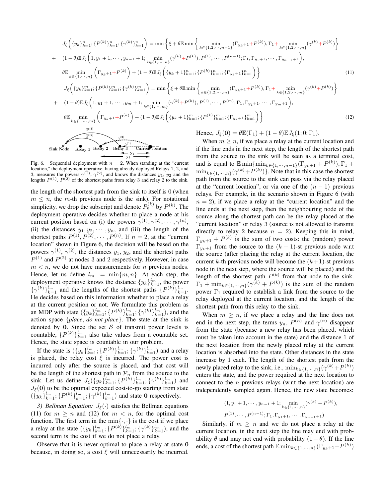$$
J_{\xi}\left(\{y_{k}\}_{k=1}^{n};\{P^{(k)}\}_{k=1}^{n};\{\gamma^{(k)}\}_{k=1}^{n}\right) = \min\left\{\xi+\theta\mathbb{E}\min\left\{ \min_{k\in\{1,2,\cdots,n-1\}}(\Gamma_{y_{k}+1}+P^{(k)}),\Gamma_{1}+\min_{k\in\{1,2,\cdots,n\}}(\gamma^{(k)}+P^{(k)})\right\} \right\}
$$
  
+ 
$$
(1-\theta)\mathbb{E}J_{\xi}\left(1,y_{1}+1,\cdots,y_{n-1}+1;_{k\in\{1,\cdots,n\}}(\gamma^{(k)}+P^{(k)}),P^{(1)},\cdots,P^{(n-1)};\Gamma_{1},\Gamma_{y_{1}+1},\cdots,\Gamma_{y_{n-1}+1}\right),
$$

$$
\theta\mathbb{E}\min_{k\in\{1,\cdots,n\}}\left(\Gamma_{y_{k}+1}+P^{(k)}\right)+(1-\theta)\mathbb{E}J_{\xi}\left(\{y_{k}+1\}_{k=1}^{n};\{P^{(k)}\}_{k=1}^{n};\{\Gamma_{y_{k}+1}\}_{k=1}^{n}\right)\right\}
$$

$$
J_{\xi}\left(\{y_{k}\}_{k=1}^{m};\{P^{(k)}\}_{k=1}^{m};\{\gamma^{(k)}\}_{k=1}^{m}\right) = \min\left\{\xi+\theta\mathbb{E}\min\left\{ \min_{k\in\{1,2,\cdots,m\}}(\Gamma_{y_{k}+1}+P^{(k)}),\Gamma_{1}+\min_{k\in\{1,2,\cdots,m\}}(\gamma^{(k)}+P^{(k)})\right\}
$$

$$
+ (1-\theta)\mathbb{E}J_{\xi}\left(1,y_{1}+1,\cdots,y_{m}+1;_{k\in\{1,\cdots,m\}}(\gamma^{(k)}+P^{(k)}),P^{(1)},\cdots,P^{(m)};\Gamma_{1},\Gamma_{y_{1}+1},\cdots,\Gamma_{y_{m}+1}\right),
$$

$$
\theta\mathbb{E}\min_{k\in\{1,\cdots,m\}}\left(\Gamma_{y_{k}+1}+P^{(k)}\right)+(1-\theta)\mathbb{E}J_{\xi}\left(\{y_{k}+1\}_{k=1}^{m};\{P^{(k)}\}_{k=1}^{m};\{\Gamma
$$



Fig. 6. Sequential deployment with  $n = 2$ . When standing at the "current location," the deployment operative, having already deployed Relays 1, 2, and 3, measures the powers  $\gamma^{(1)}$ ,  $\gamma^{(2)}$ , and knows the distances  $y_1$ ,  $y_2$  and the lengths  $P^{(1)}$ ,  $P^{(2)}$  of the shortest paths from relay 3 and relay 2 to the sink.

the length of the shortest path from the sink to itself is 0 (when  $m \leq n$ , the m-th previous node is the sink). For notational simplicity, we drop the subscript and denote  $P_n^{(k)}$  by  $P^{(k)}$ . The deployment operative decides whether to place a node at his current position based on (i) the powers  $\gamma^{(1)}, \gamma^{(2)}, \cdots, \gamma^{(n)}$ , (ii) the distances  $y_1, y_2, \dots, y_n$ , and (iii) the length of the shortest paths  $P^{(1)}, P^{(2)}, \cdots, P^{(n)}$ . If  $n = 2$ , at the "current location" shown in Figure 6, the decision will be based on the powers  $\gamma^{(1)}$ ,  $\gamma^{(2)}$ , the distances  $y_1$ ,  $y_2$ , and the shortest paths  $P^{(1)}$  and  $P^{(2)}$  at nodes 3 and 2 respectively. However, in case  $m < n$ , we do not have measurements for *n* previous nodes. Hence, let us define  $l_m := \min\{m, n\}$ . At each step, the deployment operative knows the distance  $\{y_k\}_{k=1}^{l_m}$ , the power  $\{\gamma^{(k)}\}_{k=1}^{l_m}$  and the lengths of the shortest paths  $\{P^{(k)}\}_{k=1}^{l_m}$ . He decides based on this information whether to place a relay at the current position or not. We formulate this problem as an MDP with state  $({y_k}_{k=1}^{l_m}; {P^{(k)}}_{k=1}^{l_m}; {(\gamma^{(k)}}_{k=1}^{l_m})$ , and the action space {*place*, *do not place*}. The state at the sink is denoted by 0. Since the set  $S$  of transmit power levels is countable,  $\{P^{(k)}\}_{k=1}^{l_m}$  also take values from a countable set. Hence, the state space is countable in our problem.

If the state is  $({y_k}_{k=1}^{l_m}; {P^{(k)}}_{k=1}^{l_m}; { {\gamma^{(k)}}}_{k=1}^{l_m})$  and a relay is placed, the relay cost  $\xi$  is incurred. The power cost is incurred only after the source is placed, and that cost will be the length of the shortest path in  $\mathcal{P}_n$  from the source to the sink. Let us define  $J_{\xi}(\{y_k\}_{k=1}^{l_m}; \{P^{(k)}\}_{k=1}^{l_m}; \{\gamma^{(k)}\}_{k=1}^{l_m})$  and  $J_{\xi}(\mathbf{0})$  to be the optimal expected cost-to-go starting from state  $({\{y_k\}}_{k=1}^{l_m}; {\{P^{(k)}\}}_{k=1}^{l_m}; {\{\gamma^{(k)}\}}_{k=1}^{l_m})$  and state 0 respectively.

*3) Bellman Equation:*  $J_{\xi}(\cdot)$  satisfies the Bellman equations (11) for  $m \geq n$  and (12) for  $m < n$ , for the optimal cost function. The first term in the  $\min\{\cdot, \cdot\}$  is the cost if we place a relay at the state  $({y_k}_{k=1}^{l_m}; {P^{(k)}}_{k=1}^{l_m}; {(\gamma^{(k)}}_{k=1}^{l_m})$ , and the second term is the cost if we do not place a relay.

Observe that it is never optimal to place a relay at state 0 because, in doing so, a cost  $\xi$  will unnecessarily be incurred.

When  $m \geq n$ , if we place a relay at the current location and if the line ends in the next step, the length of the shortest path from the source to the sink will be seen as a terminal cost, and is equal to  $\mathbb{E} \min \{ \min_{k \in \{1, \cdots, n-1\}} (\Gamma_{y_k+1} + P^{(k)}), \Gamma_1 + \cdots \}$  $\min_{k \in \{1, \dots, n\}} (\gamma^{(k)} + P^{(k)})\}.$  Note that in this case the shortest path from the source to the sink can pass via the relay placed at the "current location", or via one of the  $(n - 1)$  previous relays. For example, in the scenario shown in Figure 6 (with  $n = 2$ , if we place a relay at the "current location" and the line ends at the next step, then the neighbouring node of the source along the shortest path can be the relay placed at the "current location" or relay 3 (source is not allowed to transmit directly to relay 2 because  $n = 2$ ). Keeping this in mind,  $\Gamma_{y_k+1}$  +  $P^{(k)}$  is the sum of two costs: the (random) power  $\Gamma_{u_k+1}^{m+1}$  from the source to the  $(k+1)$ -st previous node w.r.t the source (after placing the relay at the current location, the current k-th previous node will become the  $(k+1)$ -st previous node in the next step, where the source will be placed) and the length of the shortest path  $P^{(k)}$  from that node to the sink.  $\Gamma_1 + \min_{k \in \{1, \dots, n\}} (\gamma^{(k)} + P^{(k)})$  is the sum of the random power  $\Gamma_1$  required to establish a link from the source to the relay deployed at the current location, and the length of the shortest path from this relay to the sink.

When  $m \geq n$ , if we place a relay and the line does not end in the next step, the terms  $y_n$ ,  $P^{(n)}$  and  $\gamma^{(n)}$  disappear from the state (because a new relay has been placed, which must be taken into account in the state) and the distance 1 of the next location from the newly placed relay at the current location is absorbed into the state. Other distances in the state increase by 1 each. The length of the shortest path from the newly placed relay to the sink, i.e.,  $\min_{k \in \{1, \dots, n\}} (\gamma^{(k)} + P^{(k)})$ enters the state, and the power required at the next location to connect to the  $n$  previous relays (w.r.t the next location) are independently sampled again. Hence, the new state becomes:

$$
(1, y_1 + 1, \cdots, y_{n-1} + 1; \min_{k \in \{1, \cdots, n\}} (\gamma^{(k)} + P^{(k)}),
$$
  

$$
P^{(1)}, \cdots, P^{(n-1)}; \Gamma_1, \Gamma_{y_1+1}, \cdots, \Gamma_{y_{n-1}+1})
$$

Similarly, if  $m > n$  and we do not place a relay at the current location, in the next step the line may end with probability  $\theta$  and may not end with probability  $(1 - \theta)$ . If the line ends, a cost of the shortest path  $\mathbb{E} \min_{k \in \{1, \dots, n\}} (\Gamma_{y_k + 1} + P^{(k)})$